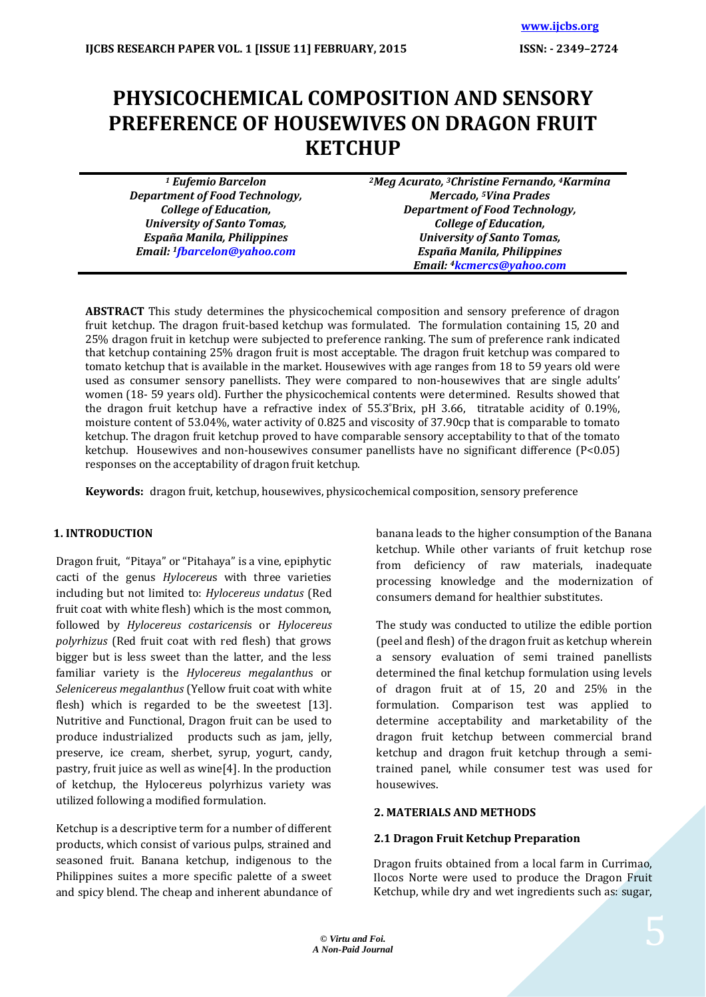# **PHYSICOCHEMICAL COMPOSITION AND SENSORY PREFERENCE OF HOUSEWIVES ON DRAGON FRUIT KETCHUP**

| <sup>1</sup> Eufemio Barcelon           | <sup>2</sup> Meg Acurato, <sup>3</sup> Christine Fernando, <sup>4</sup> Karmina |  |
|-----------------------------------------|---------------------------------------------------------------------------------|--|
| <b>Department of Food Technology,</b>   | <b>Mercado, <sup>5</sup>Vina Prades</b>                                         |  |
| <b>College of Education,</b>            | <b>Department of Food Technology,</b>                                           |  |
| <b>University of Santo Tomas,</b>       | <b>College of Education,</b>                                                    |  |
| España Manila, Philippines              | <b>University of Santo Tomas,</b>                                               |  |
| Email: <sup>1</sup> fbarcelon@yahoo.com | España Manila, Philippines                                                      |  |
|                                         | Email: <sup>4</sup> kcmercs@yahoo.com                                           |  |

**ABSTRACT** This study determines the physicochemical composition and sensory preference of dragon fruit ketchup. The dragon fruit-based ketchup was formulated. The formulation containing 15, 20 and 25% dragon fruit in ketchup were subjected to preference ranking. The sum of preference rank indicated that ketchup containing 25% dragon fruit is most acceptable. The dragon fruit ketchup was compared to tomato ketchup that is available in the market. Housewives with age ranges from 18 to 59 years old were used as consumer sensory panellists. They were compared to non-housewives that are single adults' women (18- 59 years old). Further the physicochemical contents were determined. Results showed that the dragon fruit ketchup have a refractive index of 55.3 ̊Brix, pH 3.66, titratable acidity of 0.19%, moisture content of 53.04%, water activity of 0.825 and viscosity of 37.90cp that is comparable to tomato ketchup. The dragon fruit ketchup proved to have comparable sensory acceptability to that of the tomato ketchup. Housewives and non-housewives consumer panellists have no significant difference (P<0.05) responses on the acceptability of dragon fruit ketchup.

**Keywords:** dragon fruit, ketchup, housewives, physicochemical composition, sensory preference

# **1. INTRODUCTION**

Dragon fruit, "Pitaya" or "Pitahaya" is a vine, epiphytic cacti of the genus *Hylocereu*s with three varieties including but not limited to: *Hylocereus undatus* (Red fruit coat with white flesh) which is the most common, followed by *Hylocereus costaricensi*s or *Hylocereus polyrhizus* (Red fruit coat with red flesh) that grows bigger but is less sweet than the latter, and the less familiar variety is the *Hylocereus megalanthu*s or *Selenicereus megalanthus* (Yellow fruit coat with white flesh) which is regarded to be the sweetest [13]. Nutritive and Functional, Dragon fruit can be used to produce industrialized products such as jam, jelly, preserve, ice cream, sherbet, syrup, yogurt, candy, pastry, fruit juice as well as wine[4]. In the production of ketchup, the Hylocereus polyrhizus variety was utilized following a modified formulation.

Ketchup is a descriptive term for a number of different products, which consist of various pulps, strained and seasoned fruit. Banana ketchup, indigenous to the Philippines suites a more specific palette of a sweet and spicy blend. The cheap and inherent abundance of banana leads to the higher consumption of the Banana ketchup. While other variants of fruit ketchup rose from deficiency of raw materials, inadequate processing knowledge and the modernization of consumers demand for healthier substitutes.

The study was conducted to utilize the edible portion (peel and flesh) of the dragon fruit as ketchup wherein a sensory evaluation of semi trained panellists determined the final ketchup formulation using levels of dragon fruit at of 15, 20 and 25% in the formulation. Comparison test was applied to determine acceptability and marketability of the dragon fruit ketchup between commercial brand ketchup and dragon fruit ketchup through a semitrained panel, while consumer test was used for housewives.

# **2. MATERIALS AND METHODS**

# **2.1 Dragon Fruit Ketchup Preparation**

Dragon fruits obtained from a local farm in Currimao, Ilocos Norte were used to produce the Dragon Fruit Ketchup, while dry and wet ingredients such as: sugar,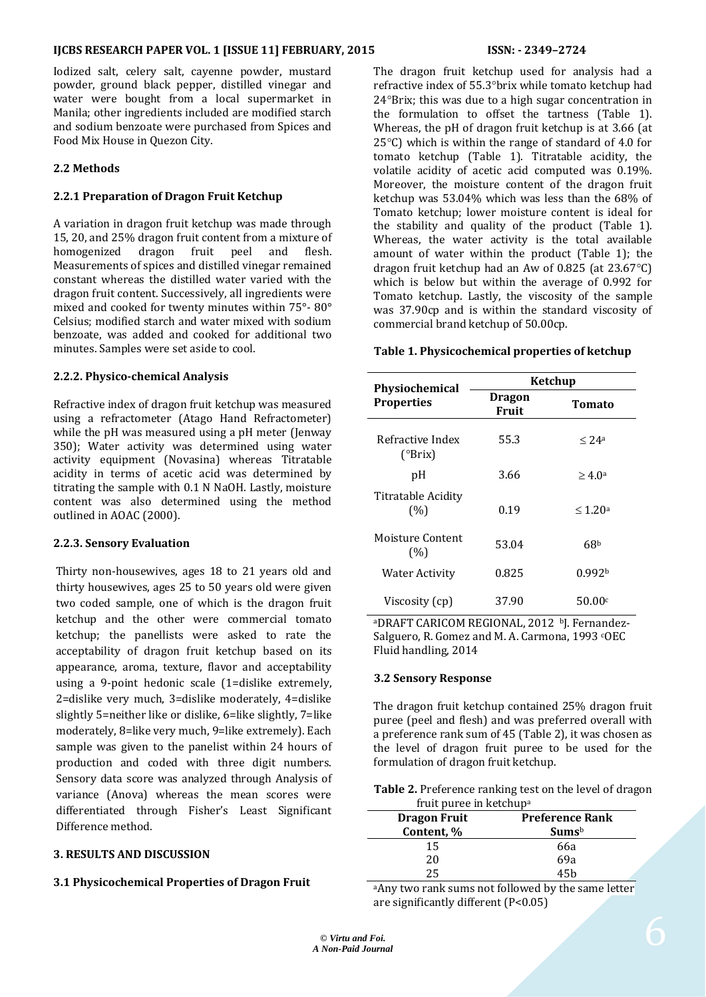### **IJCBS RESEARCH PAPER VOL. 1 [ISSUE 11] FEBRUARY, 2015 ISSN: - 2349–2724**

Iodized salt, celery salt, cayenne powder, mustard powder, ground black pepper, distilled vinegar and water were bought from a local supermarket in Manila; other ingredients included are modified starch and sodium benzoate were purchased from Spices and Food Mix House in Quezon City.

### **2.2 Methods**

#### **2.2.1 Preparation of Dragon Fruit Ketchup**

A variation in dragon fruit ketchup was made through 15, 20, and 25% dragon fruit content from a mixture of homogenized dragon fruit peel and flesh. Measurements of spices and distilled vinegar remained constant whereas the distilled water varied with the dragon fruit content. Successively, all ingredients were mixed and cooked for twenty minutes within 75°- 80° Celsius; modified starch and water mixed with sodium benzoate, was added and cooked for additional two minutes. Samples were set aside to cool.

#### **2.2.2. Physico-chemical Analysis**

Refractive index of dragon fruit ketchup was measured using a refractometer (Atago Hand Refractometer) while the pH was measured using a pH meter (Jenway 350); Water activity was determined using water activity equipment (Novasina) whereas Titratable acidity in terms of acetic acid was determined by titrating the sample with 0.1 N NaOH. Lastly, moisture content was also determined using the method outlined in AOAC (2000).

#### **2.2.3. Sensory Evaluation**

Thirty non-housewives, ages 18 to 21 years old and thirty housewives, ages 25 to 50 years old were given two coded sample, one of which is the dragon fruit ketchup and the other were commercial tomato ketchup; the panellists were asked to rate the acceptability of dragon fruit ketchup based on its appearance, aroma, texture, flavor and acceptability using a 9-point hedonic scale (1=dislike extremely, 2=dislike very much, 3=dislike moderately, 4=dislike slightly 5=neither like or dislike, 6=like slightly, 7=like moderately, 8=like very much, 9=like extremely). Each sample was given to the panelist within 24 hours of production and coded with three digit numbers. Sensory data score was analyzed through Analysis of variance (Anova) whereas the mean scores were differentiated through Fisher's Least Significant Difference method.

#### **3. RESULTS AND DISCUSSION**

#### **3.1 Physicochemical Properties of Dragon Fruit**

The dragon fruit ketchup used for analysis had a refractive index of 55.3° brix while tomato ketchup had  $24^{\circ}$ Brix; this was due to a high sugar concentration in the formulation to offset the tartness (Table 1). Whereas, the pH of dragon fruit ketchup is at 3.66 (at  $25^{\circ}$ C) which is within the range of standard of 4.0 for tomato ketchup (Table 1). Titratable acidity, the volatile acidity of acetic acid computed was 0.19%. Moreover, the moisture content of the dragon fruit ketchup was 53.04% which was less than the 68% of Tomato ketchup; lower moisture content is ideal for the stability and quality of the product (Table 1). Whereas, the water activity is the total available amount of water within the product (Table 1); the dragon fruit ketchup had an Aw of 0.825 (at 23.67°C) which is below but within the average of 0.992 for Tomato ketchup. Lastly, the viscosity of the sample was 37.90cp and is within the standard viscosity of commercial brand ketchup of 50.00cp.

#### **Table 1. Physicochemical properties of ketchup**

| <b>Physiochemical</b>       |                        | Ketchup             |  |
|-----------------------------|------------------------|---------------------|--|
| <b>Properties</b>           | <b>Dragon</b><br>Fruit | <b>Tomato</b>       |  |
| Refractive Index<br>(°Brix) | 55.3                   | $< 24$ a            |  |
| рH                          | 3.66                   | $\geq 4.0a$         |  |
| Titratable Acidity<br>(%)   | 0.19                   | $\leq 1.20^{\rm a}$ |  |
| Moisture Content<br>(% )    | 53.04                  | 68 <sup>b</sup>     |  |
| Water Activity              | 0.825                  | 0.992b              |  |
| Viscosity (cp)              | 37.90                  | 50.00 <sup>c</sup>  |  |

aDRAFT CARICOM REGIONAL, 2012 bJ. Fernandez-Salguero, R. Gomez and M. A. Carmona, 1993 <sup>c</sup>OEC Fluid handling, 2014

#### **3.2 Sensory Response**

The dragon fruit ketchup contained 25% dragon fruit puree (peel and flesh) and was preferred overall with a preference rank sum of 45 (Table 2), it was chosen as the level of dragon fruit puree to be used for the formulation of dragon fruit ketchup.

| <b>Table 2.</b> Preference ranking test on the level of dragon |  |
|----------------------------------------------------------------|--|
| fruit puree in ketchup <sup>a</sup>                            |  |

| <b>Dragon Fruit</b> | <b>Preference Rank</b> |  |
|---------------------|------------------------|--|
| Content, %          | Sums <sup>b</sup>      |  |
| 15                  | 66a                    |  |
| 20                  | 69a                    |  |
| 25.                 | 45h                    |  |

a Any two rank sums not followed by the same letter are significantly different (P<0.05)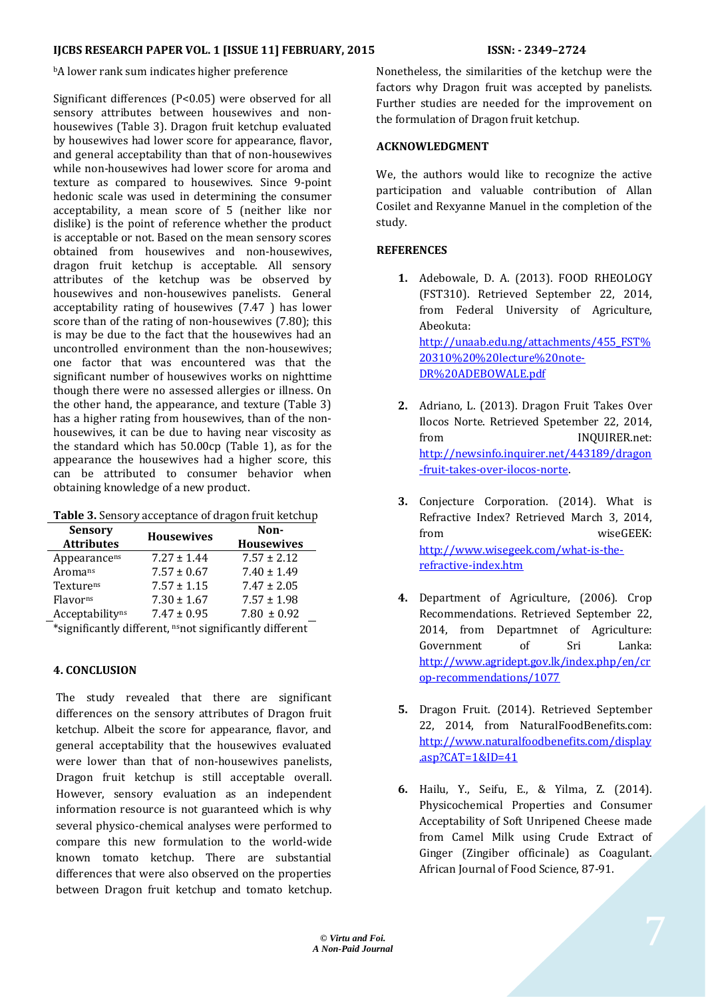# **IJCBS RESEARCH PAPER VOL. 1 [ISSUE 11] FEBRUARY, 2015 ISSN: - 2349–2724**

**bA** lower rank sum indicates higher preference

Significant differences (P<0.05) were observed for all sensory attributes between housewives and nonhousewives (Table 3). Dragon fruit ketchup evaluated by housewives had lower score for appearance, flavor, and general acceptability than that of non-housewives while non-housewives had lower score for aroma and texture as compared to housewives. Since 9-point hedonic scale was used in determining the consumer acceptability, a mean score of 5 (neither like nor dislike) is the point of reference whether the product is acceptable or not. Based on the mean sensory scores obtained from housewives and non-housewives, dragon fruit ketchup is acceptable. All sensory attributes of the ketchup was be observed by housewives and non-housewives panelists. General acceptability rating of housewives (7.47 ) has lower score than of the rating of non-housewives (7.80); this is may be due to the fact that the housewives had an uncontrolled environment than the non-housewives; one factor that was encountered was that the significant number of housewives works on nighttime though there were no assessed allergies or illness. On the other hand, the appearance, and texture (Table 3) has a higher rating from housewives, than of the nonhousewives, it can be due to having near viscosity as the standard which has 50.00cp (Table 1), as for the appearance the housewives had a higher score, this can be attributed to consumer behavior when obtaining knowledge of a new product.

| <b>Sensory</b><br><b>Attributes</b>                                   | <b>Housewives</b> | Non-<br><b>Housewives</b> |  |  |
|-----------------------------------------------------------------------|-------------------|---------------------------|--|--|
| Appearancens                                                          | $7.27 \pm 1.44$   | $7.57 \pm 2.12$           |  |  |
| Aromans                                                               | $7.57 \pm 0.67$   | $7.40 \pm 1.49$           |  |  |
| Texturens                                                             | $7.57 \pm 1.15$   | $7.47 \pm 2.05$           |  |  |
| Flavor <sup>ns</sup>                                                  | $7.30 \pm 1.67$   | $7.57 \pm 1.98$           |  |  |
| Acceptability <sup>ns</sup>                                           | $7.47 \pm 0.95$   | $7.80 \pm 0.92$           |  |  |
| $*$ gignifigantly different, $g_{\text{max}}$ gignifigantly different |                   |                           |  |  |

\*significantly different, nsnot significantly different

# **4. CONCLUSION**

The study revealed that there are significant differences on the sensory attributes of Dragon fruit ketchup. Albeit the score for appearance, flavor, and general acceptability that the housewives evaluated were lower than that of non-housewives panelists, Dragon fruit ketchup is still acceptable overall. However, sensory evaluation as an independent information resource is not guaranteed which is why several physico-chemical analyses were performed to compare this new formulation to the world-wide known tomato ketchup. There are substantial differences that were also observed on the properties between Dragon fruit ketchup and tomato ketchup.

Nonetheless, the similarities of the ketchup were the factors why Dragon fruit was accepted by panelists. Further studies are needed for the improvement on the formulation of Dragon fruit ketchup.

### **ACKNOWLEDGMENT**

We, the authors would like to recognize the active participation and valuable contribution of Allan Cosilet and Rexyanne Manuel in the completion of the study.

# **REFERENCES**

- **1.** Adebowale, D. A. (2013). FOOD RHEOLOGY (FST310). Retrieved September 22, 2014, from Federal University of Agriculture, Abeokuta: [http://unaab.edu.ng/attachments/455\\_FST%](http://unaab.edu.ng/attachments/455_FST%20310%20%20lecture%20note-DR%20ADEBOWALE.pdf) [20310%20%20lecture%20note-](http://unaab.edu.ng/attachments/455_FST%20310%20%20lecture%20note-DR%20ADEBOWALE.pdf)[DR%20ADEBOWALE.pdf](http://unaab.edu.ng/attachments/455_FST%20310%20%20lecture%20note-DR%20ADEBOWALE.pdf)
- **2.** Adriano, L. (2013). Dragon Fruit Takes Over Ilocos Norte. Retrieved Spetember 22, 2014, from INQUIRER.net: [http://newsinfo.inquirer.net/443189/dragon](http://newsinfo.inquirer.net/443189/dragon-fruit-takes-over-ilocos-norte) [-fruit-takes-over-ilocos-norte.](http://newsinfo.inquirer.net/443189/dragon-fruit-takes-over-ilocos-norte)
- **3.** Conjecture Corporation. (2014). What is Refractive Index? Retrieved March 3, 2014, from wiseGEEK: [http://www.wisegeek.com/what-is-the](http://www.wisegeek.com/what-is-the-refractive-index.htm)[refractive-index.htm](http://www.wisegeek.com/what-is-the-refractive-index.htm)
- **4.** Department of Agriculture, (2006). Crop Recommendations. Retrieved September 22, 2014, from Departmnet of Agriculture: Government of Sri Lanka: [http://www.agridept.gov.lk/index.php/en/cr](http://www.agridept.gov.lk/index.php/en/crop-recommendations/1077) [op-recommendations/1077](http://www.agridept.gov.lk/index.php/en/crop-recommendations/1077)
- **5.** Dragon Fruit. (2014). Retrieved September 22, 2014, from NaturalFoodBenefits.com: [http://www.naturalfoodbenefits.com/display](http://www.naturalfoodbenefits.com/display.asp?CAT=1&ID=41)  $.$ asp?CAT=1&ID=41
- **6.** Hailu, Y., Seifu, E., & Yilma, Z. (2014). Physicochemical Properties and Consumer Acceptability of Soft Unripened Cheese made from Camel Milk using Crude Extract of Ginger (Zingiber officinale) as Coagulant. African Journal of Food Science, 87-91.